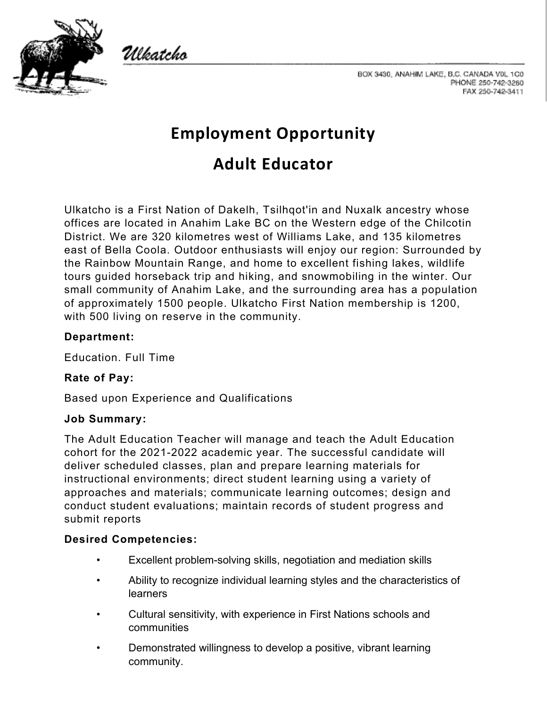

Ulkatcho



# **Employment Opportunity**

# **Adult Educator**

Ulkatcho is a First Nation of Dakelh, Tsilhqot'in and Nuxalk ancestry whose offices are located in Anahim Lake BC on the Western edge of the Chilcotin District. We are 320 kilometres west of Williams Lake, and 135 kilometres east of Bella Coola. Outdoor enthusiasts will enjoy our region: Surrounded by the Rainbow Mountain Range, and home to excellent fishing lakes, wildlife tours guided horseback trip and hiking, and snowmobiling in the winter. Our small community of Anahim Lake, and the surrounding area has a population of approximately 1500 people. Ulkatcho First Nation membership is 1200, with 500 living on reserve in the community.

## **Department:**

Education. Full Time

#### **Rate of Pay:**

Based upon Experience and Qualifications

#### **Job Summary:**

The Adult Education Teacher will manage and teach the Adult Education cohort for the 2021-2022 academic year. The successful candidate will deliver scheduled classes, plan and prepare learning materials for instructional environments; direct student learning using a variety of approaches and materials; communicate learning outcomes; design and conduct student evaluations; maintain records of student progress and submit reports

## **Desired Competencies:**

- Excellent problem-solving skills, negotiation and mediation skills
- Ability to recognize individual learning styles and the characteristics of learners
- Cultural sensitivity, with experience in First Nations schools and communities
- Demonstrated willingness to develop a positive, vibrant learning community.